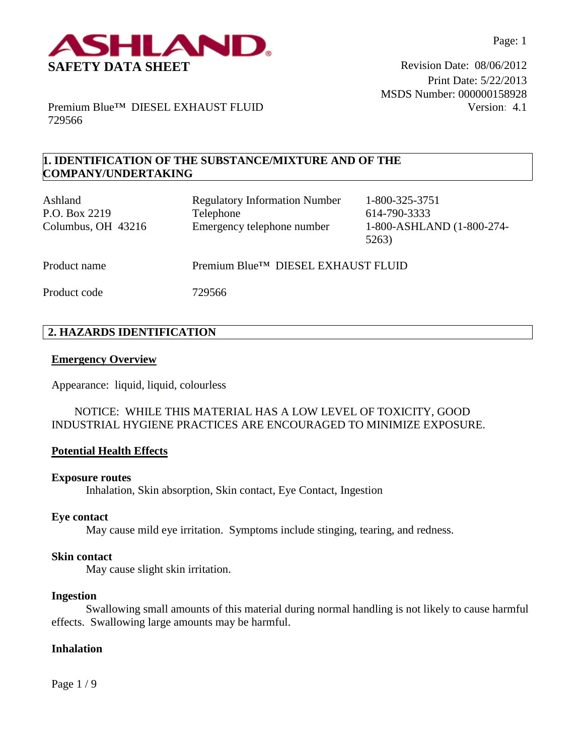

Print Date: 5/22/2013 MSDS Number: 000000158928 Version: 4.1

Premium Blue™ DIESEL EXHAUST FLUID 729566

# **1. IDENTIFICATION OF THE SUBSTANCE/MIXTURE AND OF THE COMPANY/UNDERTAKING**

| Ashland<br>P.O. Box 2219<br>Columbus, OH 43216 | <b>Regulatory Information Number</b><br>Telephone<br>Emergency telephone number | 1-800-325-3751<br>614-790-3333<br>1-800-ASHLAND (1-800-274-<br>5263) |
|------------------------------------------------|---------------------------------------------------------------------------------|----------------------------------------------------------------------|
| Product name                                   | Premium Blue™ DIESEL EXHAUST FLUID                                              |                                                                      |
| Product code                                   | 729566                                                                          |                                                                      |

# **2. HAZARDS IDENTIFICATION**

#### **Emergency Overview**

Appearance:liquid, liquid, colourless

# NOTICE: WHILE THIS MATERIAL HAS A LOW LEVEL OF TOXICITY, GOOD INDUSTRIAL HYGIENE PRACTICES ARE ENCOURAGED TO MINIMIZE EXPOSURE.

### **Potential Health Effects**

#### **Exposure routes**

Inhalation, Skin absorption, Skin contact, Eye Contact, Ingestion

#### **Eye contact**

May cause mild eye irritation. Symptoms include stinging, tearing, and redness.

#### **Skin contact**

May cause slight skin irritation.

#### **Ingestion**

Swallowing small amounts of this material during normal handling is not likely to cause harmful effects. Swallowing large amounts may be harmful.

#### **Inhalation**

Page 1 / 9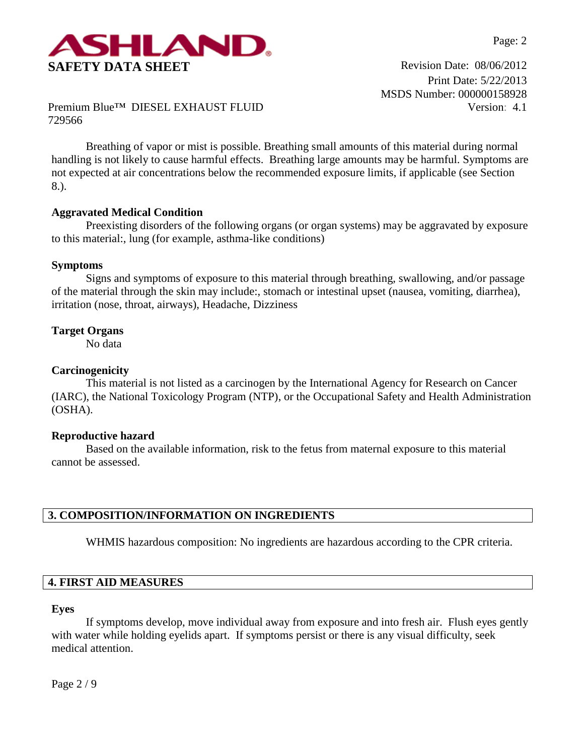

Print Date: 5/22/2013 MSDS Number: 000000158928 Version: 4.1

Premium Blue™ DIESEL EXHAUST FLUID 729566

Breathing of vapor or mist is possible. Breathing small amounts of this material during normal handling is not likely to cause harmful effects. Breathing large amounts may be harmful. Symptoms are not expected at air concentrations below the recommended exposure limits, if applicable (see Section 8.).

### **Aggravated Medical Condition**

Preexisting disorders of the following organs (or organ systems) may be aggravated by exposure to this material:, lung (for example, asthma-like conditions)

### **Symptoms**

Signs and symptoms of exposure to this material through breathing, swallowing, and/or passage of the material through the skin may include:, stomach or intestinal upset (nausea, vomiting, diarrhea), irritation (nose, throat, airways), Headache, Dizziness

# **Target Organs**

No data

# **Carcinogenicity**

This material is not listed as a carcinogen by the International Agency for Research on Cancer (IARC), the National Toxicology Program (NTP), or the Occupational Safety and Health Administration (OSHA).

### **Reproductive hazard**

Based on the available information, risk to the fetus from maternal exposure to this material cannot be assessed.

### **3. COMPOSITION/INFORMATION ON INGREDIENTS**

WHMIS hazardous composition: No ingredients are hazardous according to the CPR criteria.

# **4. FIRST AID MEASURES**

#### **Eyes**

If symptoms develop, move individual away from exposure and into fresh air. Flush eyes gently with water while holding eyelids apart. If symptoms persist or there is any visual difficulty, seek medical attention.

Page 2 / 9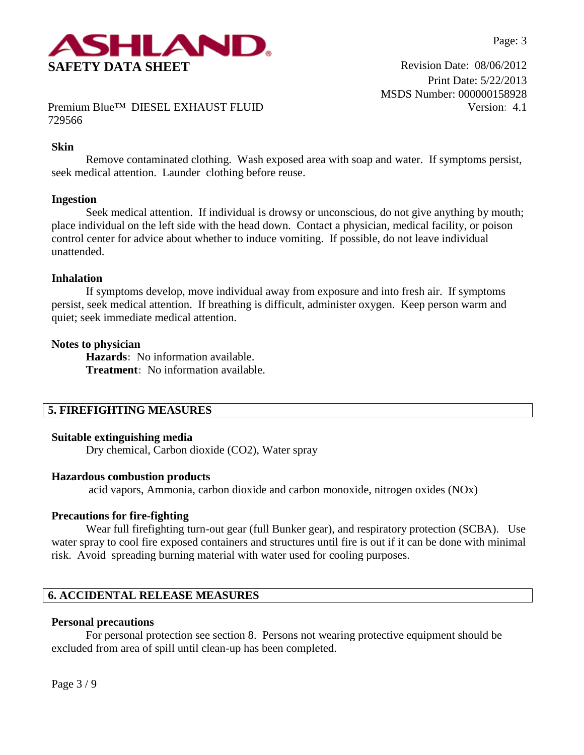

Print Date: 5/22/2013 MSDS Number: 000000158928 Version: 4.1

Premium Blue™ DIESEL EXHAUST FLUID 729566

### **Skin**

Remove contaminated clothing. Wash exposed area with soap and water. If symptoms persist, seek medical attention. Launder clothing before reuse.

#### **Ingestion**

Seek medical attention. If individual is drowsy or unconscious, do not give anything by mouth; place individual on the left side with the head down. Contact a physician, medical facility, or poison control center for advice about whether to induce vomiting. If possible, do not leave individual unattended.

#### **Inhalation**

If symptoms develop, move individual away from exposure and into fresh air. If symptoms persist, seek medical attention. If breathing is difficult, administer oxygen. Keep person warm and quiet; seek immediate medical attention.

#### **Notes to physician**

**Hazards:** No information available. **Treatment:** No information available.

# **5. FIREFIGHTING MEASURES**

#### **Suitable extinguishing media**

Dry chemical, Carbon dioxide (CO2), Water spray

#### **Hazardous combustion products**

acid vapors, Ammonia, carbon dioxide and carbon monoxide, nitrogen oxides (NOx)

#### **Precautions for fire-fighting**

Wear full firefighting turn-out gear (full Bunker gear), and respiratory protection (SCBA). Use water spray to cool fire exposed containers and structures until fire is out if it can be done with minimal risk. Avoid spreading burning material with water used for cooling purposes.

# **6. ACCIDENTAL RELEASE MEASURES**

#### **Personal precautions**

For personal protection see section 8.Persons not wearing protective equipment should be excluded from area of spill until clean-up has been completed.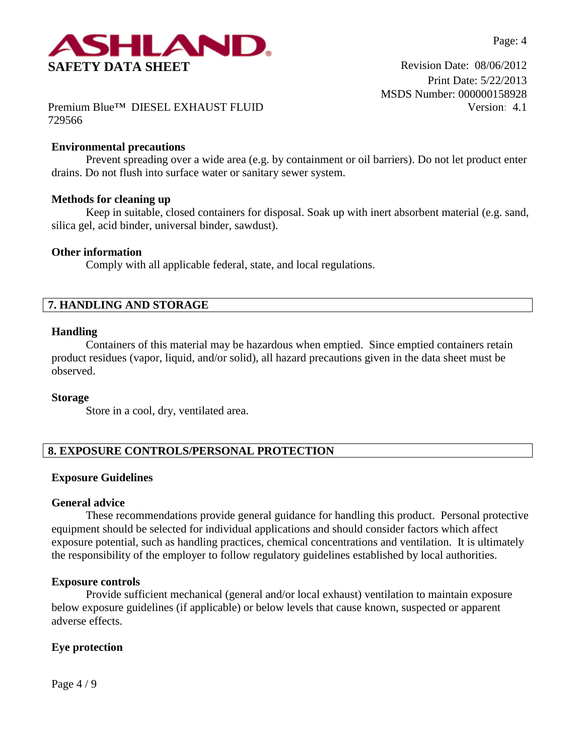

Print Date: 5/22/2013 MSDS Number: 000000158928 Version: 4.1

Premium Blue™ DIESEL EXHAUST FLUID 729566

# **Environmental precautions**

Prevent spreading over a wide area (e.g. by containment or oil barriers). Do not let product enter drains. Do not flush into surface water or sanitary sewer system.

### **Methods for cleaning up**

Keep in suitable, closed containers for disposal. Soak up with inert absorbent material (e.g. sand, silica gel, acid binder, universal binder, sawdust).

### **Other information**

Comply with all applicable federal, state, and local regulations.

# **7. HANDLING AND STORAGE**

### **Handling**

Containers of this material may be hazardous when emptied. Since emptied containers retain product residues (vapor, liquid, and/or solid), all hazard precautions given in the data sheet must be observed.

### **Storage**

Store in a cool, dry, ventilated area.

# **8. EXPOSURE CONTROLS/PERSONAL PROTECTION**

### **Exposure Guidelines**

### **General advice**

These recommendations provide general guidance for handling this product. Personal protective equipment should be selected for individual applications and should consider factors which affect exposure potential, such as handling practices, chemical concentrations and ventilation. It is ultimately the responsibility of the employer to follow regulatory guidelines established by local authorities.

### **Exposure controls**

Provide sufficient mechanical (general and/or local exhaust) ventilation to maintain exposure below exposure guidelines (if applicable) or below levels that cause known, suspected or apparent adverse effects.

# **Eye protection**

Page 4 / 9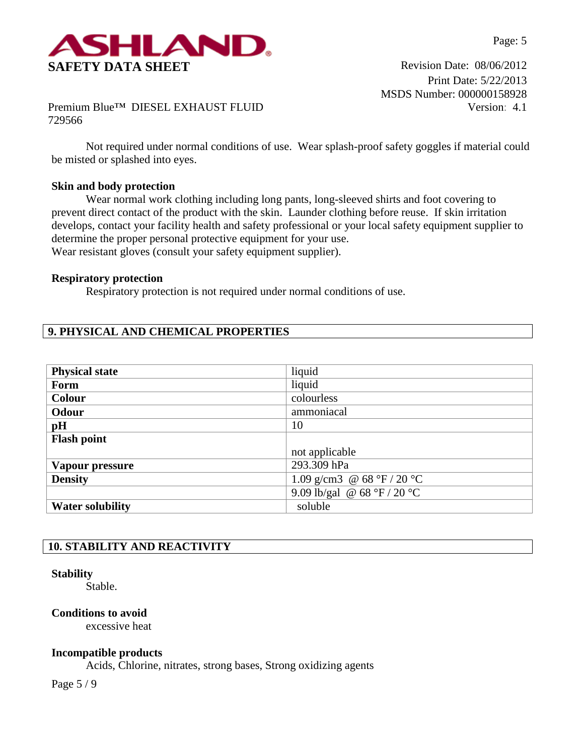

Print Date: 5/22/2013 MSDS Number: 000000158928 Version: 4.1

Premium Blue™ DIESEL EXHAUST FLUID 729566

Not required under normal conditions of use. Wear splash-proof safety goggles if material could be misted or splashed into eyes.

# **Skin and body protection**

Wear normal work clothing including long pants, long-sleeved shirts and foot covering to prevent direct contact of the product with the skin. Launder clothing before reuse. If skin irritation develops, contact your facility health and safety professional or your local safety equipment supplier to determine the proper personal protective equipment for your use. Wear resistant gloves (consult your safety equipment supplier).

### **Respiratory protection**

Respiratory protection is not required under normal conditions of use.

# **9. PHYSICAL AND CHEMICAL PROPERTIES**

| <b>Physical state</b>   | liquid                      |
|-------------------------|-----------------------------|
| Form                    | liquid                      |
| <b>Colour</b>           | colourless                  |
| Odour                   | ammoniacal                  |
| pH                      | 10                          |
| <b>Flash point</b>      |                             |
|                         | not applicable              |
| Vapour pressure         | 293.309 hPa                 |
| <b>Density</b>          | 1.09 g/cm3 @ 68 °F / 20 °C  |
|                         | 9.09 lb/gal @ 68 °F / 20 °C |
| <b>Water solubility</b> | soluble                     |

# **10. STABILITY AND REACTIVITY**

### **Stability**

Stable.

## **Conditions to avoid**

excessive heat

### **Incompatible products**

Acids, Chlorine, nitrates, strong bases, Strong oxidizing agents

Page 5 / 9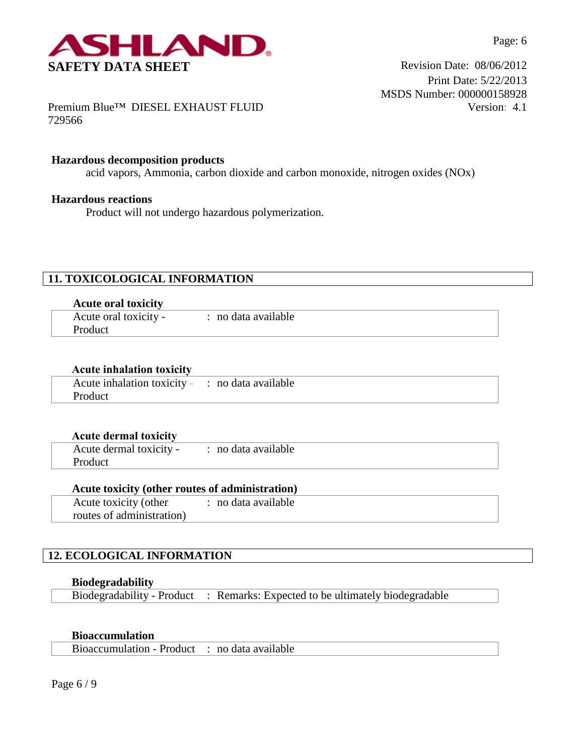

Print Date: 5/22/2013 MSDS Number: 000000158928 Version: 4.1

Premium Blue™ DIESEL EXHAUST FLUID 729566

### **Hazardous decomposition products**

acid vapors, Ammonia, carbon dioxide and carbon monoxide, nitrogen oxides (NOx)

#### **Hazardous reactions**

Product will not undergo hazardous polymerization.

# **11. TOXICOLOGICAL INFORMATION**

| <b>Acute oral toxicity</b> |                     |
|----------------------------|---------------------|
| Acute oral toxicity -      | : no data available |
| <b>Product</b>             |                     |

| <b>Acute inhalation toxicity</b>                |  |
|-------------------------------------------------|--|
| Acute inhalation toxicity - : no data available |  |
| <b>Product</b>                                  |  |

| <b>Acute dermal toxicity</b> |                     |  |
|------------------------------|---------------------|--|
| Acute dermal toxicity -      | : no data available |  |
| Product                      |                     |  |

#### **Acute toxicity (other routes of administration)**

Acute toxicity (other routes of administration) : no data available

# **12. ECOLOGICAL INFORMATION**

### **Biodegradability**

Biodegradability - Product : Remarks: Expected to be ultimately biodegradable

## **Bioaccumulation**

Bioaccumulation - Product : no data available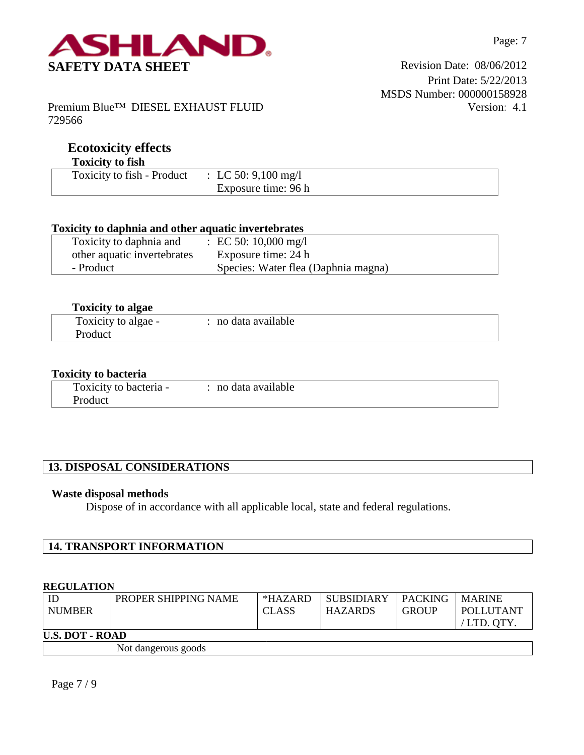

Premium Blue™ DIESEL EXHAUST FLUID 729566

# **Ecotoxicity effects**

# **Toxicity to fish**

| <b>TANCHY WILDH</b>                            |                     |
|------------------------------------------------|---------------------|
| Toxicity to fish - Product : LC 50: 9,100 mg/l |                     |
|                                                | Exposure time: 96 h |

# **Toxicity to daphnia and other aquatic invertebrates**

| Toxicity to daphnia and     | : EC 50: 10,000 mg/l                |
|-----------------------------|-------------------------------------|
| other aquatic invertebrates | Exposure time: 24 h                 |
| - Product                   | Species: Water flea (Daphnia magna) |

| <b>Toxicity to algae</b> |                     |  |
|--------------------------|---------------------|--|
| Toxicity to algae -      | : no data available |  |
| Product                  |                     |  |

## **Toxicity to bacteria**

| Toxicity to bacteria - | : no data available |  |
|------------------------|---------------------|--|
| Product                |                     |  |

# **13. DISPOSAL CONSIDERATIONS**

## **Waste disposal methods**

Dispose of in accordance with all applicable local, state and federal regulations.

| <b>14. TRANSPORT INFORMATION</b> |
|----------------------------------|
|----------------------------------|

#### **REGULATION**

| $\mathbb{D}$<br><b>NUMBER</b> | PROPER SHIPPING NAME | $*HAZARD$<br>CLASS | <b>SUBSIDIARY</b><br><b>HAZARDS</b> | <b>PACKING</b><br><b>GROUP</b> | <b>MARINE</b><br><b>POLLUTANT</b><br>/LTD. OTY. |  |
|-------------------------------|----------------------|--------------------|-------------------------------------|--------------------------------|-------------------------------------------------|--|
| <b>U.S. DOT - ROAD</b>        |                      |                    |                                     |                                |                                                 |  |

Not dangerous goods

Page 7 / 9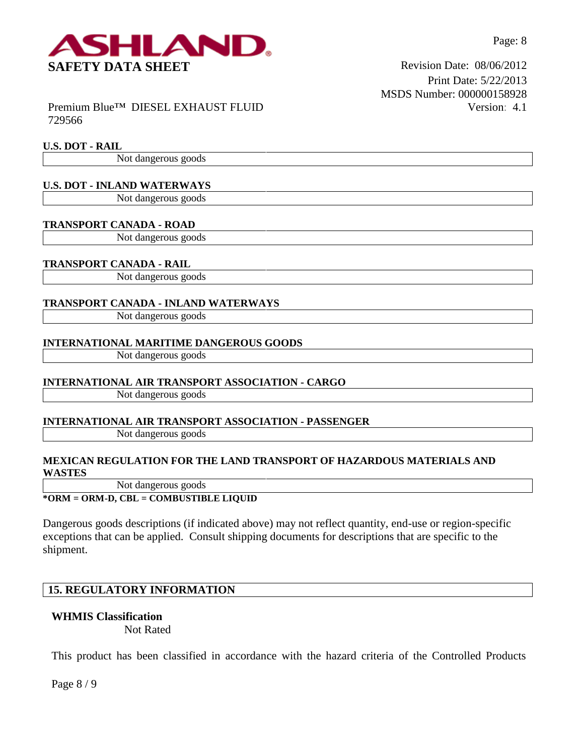

Premium Blue™ DIESEL EXHAUST FLUID 729566

#### **U.S. DOT - RAIL**

Not dangerous goods

# **U.S. DOT - INLAND WATERWAYS**

Not dangerous goods

#### **TRANSPORT CANADA - ROAD**

Not dangerous goods

#### **TRANSPORT CANADA - RAIL**

Not dangerous goods

#### **TRANSPORT CANADA - INLAND WATERWAYS**

Not dangerous goods

#### **INTERNATIONAL MARITIME DANGEROUS GOODS**

Not dangerous goods

#### **INTERNATIONAL AIR TRANSPORT ASSOCIATION - CARGO**

Not dangerous goods

#### **INTERNATIONAL AIR TRANSPORT ASSOCIATION - PASSENGER**

Not dangerous goods

#### **MEXICAN REGULATION FOR THE LAND TRANSPORT OF HAZARDOUS MATERIALS AND WASTES**

Not dangerous goods

**\*ORM = ORM-D, CBL = COMBUSTIBLE LIQUID**

Dangerous goods descriptions (if indicated above) may not reflect quantity, end-use or region-specific exceptions that can be applied. Consult shipping documents for descriptions that are specific to the shipment.

# **15. REGULATORY INFORMATION**

#### **WHMIS Classification**

Not Rated

This product has been classified in accordance with the hazard criteria of the Controlled Products

Page 8 / 9

Print Date: 5/22/2013 MSDS Number: 000000158928 Version: 4.1

Page: 8